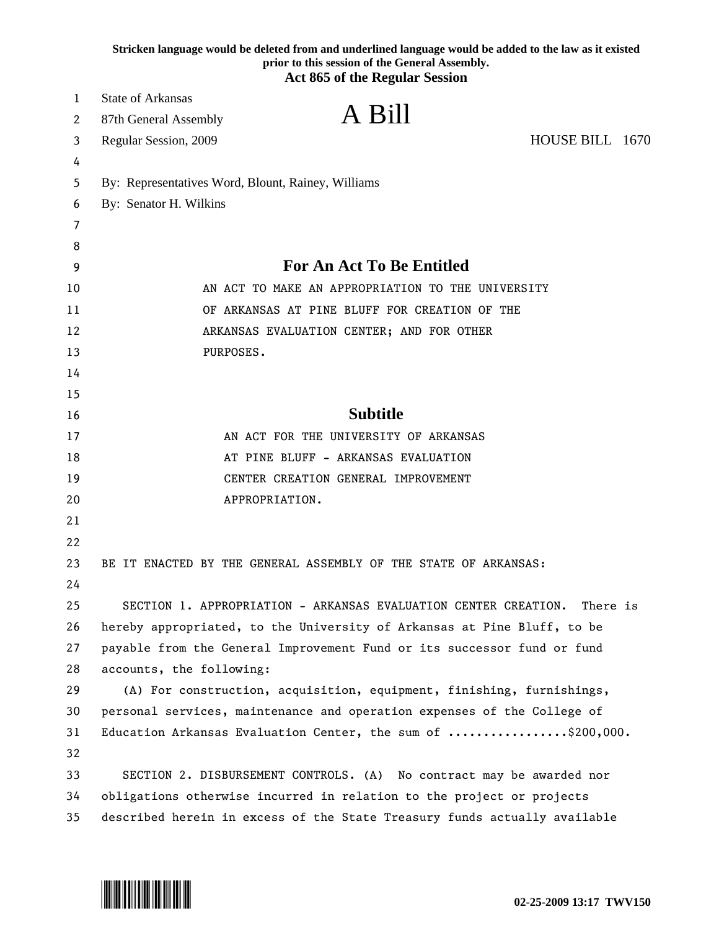|    | Stricken language would be deleted from and underlined language would be added to the law as it existed<br>prior to this session of the General Assembly.<br><b>Act 865 of the Regular Session</b> |  |
|----|----------------------------------------------------------------------------------------------------------------------------------------------------------------------------------------------------|--|
| 1  | State of Arkansas                                                                                                                                                                                  |  |
| 2  | A Bill<br>87th General Assembly                                                                                                                                                                    |  |
| 3  | HOUSE BILL 1670<br>Regular Session, 2009                                                                                                                                                           |  |
| 4  |                                                                                                                                                                                                    |  |
| 5  | By: Representatives Word, Blount, Rainey, Williams                                                                                                                                                 |  |
| 6  | By: Senator H. Wilkins                                                                                                                                                                             |  |
| 7  |                                                                                                                                                                                                    |  |
| 8  |                                                                                                                                                                                                    |  |
| 9  | <b>For An Act To Be Entitled</b>                                                                                                                                                                   |  |
| 10 | AN ACT TO MAKE AN APPROPRIATION TO THE UNIVERSITY                                                                                                                                                  |  |
| 11 | OF ARKANSAS AT PINE BLUFF FOR CREATION OF THE                                                                                                                                                      |  |
| 12 | ARKANSAS EVALUATION CENTER; AND FOR OTHER                                                                                                                                                          |  |
| 13 | PURPOSES.                                                                                                                                                                                          |  |
| 14 |                                                                                                                                                                                                    |  |
| 15 |                                                                                                                                                                                                    |  |
| 16 | <b>Subtitle</b>                                                                                                                                                                                    |  |
| 17 | AN ACT FOR THE UNIVERSITY OF ARKANSAS                                                                                                                                                              |  |
| 18 | AT PINE BLUFF - ARKANSAS EVALUATION                                                                                                                                                                |  |
| 19 | CENTER CREATION GENERAL IMPROVEMENT                                                                                                                                                                |  |
| 20 | APPROPRIATION.                                                                                                                                                                                     |  |
| 21 |                                                                                                                                                                                                    |  |
| 22 |                                                                                                                                                                                                    |  |
| 23 | BE IT ENACTED BY THE GENERAL ASSEMBLY OF THE STATE OF ARKANSAS:                                                                                                                                    |  |
| 24 |                                                                                                                                                                                                    |  |
| 25 | SECTION 1. APPROPRIATION - ARKANSAS EVALUATION CENTER CREATION.<br>There is                                                                                                                        |  |
| 26 | hereby appropriated, to the University of Arkansas at Pine Bluff, to be                                                                                                                            |  |
| 27 | payable from the General Improvement Fund or its successor fund or fund                                                                                                                            |  |
| 28 | accounts, the following:                                                                                                                                                                           |  |
| 29 | (A) For construction, acquisition, equipment, finishing, furnishings,                                                                                                                              |  |
| 30 | personal services, maintenance and operation expenses of the College of                                                                                                                            |  |
| 31 | Education Arkansas Evaluation Center, the sum of \$200,000.                                                                                                                                        |  |
| 32 |                                                                                                                                                                                                    |  |
| 33 | SECTION 2. DISBURSEMENT CONTROLS. (A) No contract may be awarded nor                                                                                                                               |  |
| 34 | obligations otherwise incurred in relation to the project or projects                                                                                                                              |  |
| 35 | described herein in excess of the State Treasury funds actually available                                                                                                                          |  |

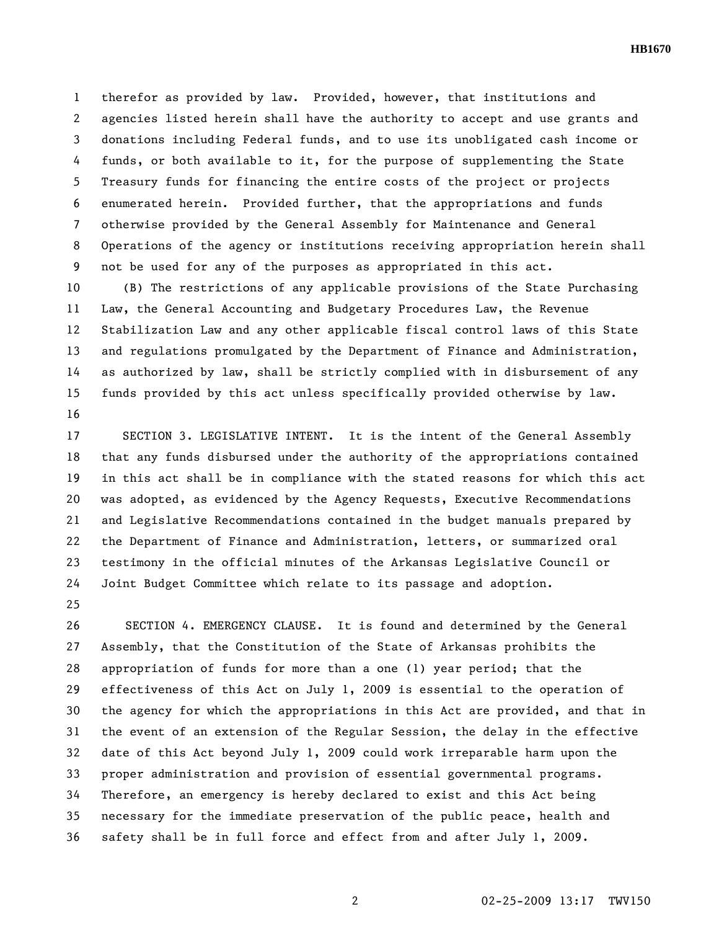**HB1670** 

1 therefor as provided by law. Provided, however, that institutions and 2 agencies listed herein shall have the authority to accept and use grants and 3 donations including Federal funds, and to use its unobligated cash income or 4 funds, or both available to it, for the purpose of supplementing the State 5 Treasury funds for financing the entire costs of the project or projects 6 enumerated herein. Provided further, that the appropriations and funds 7 otherwise provided by the General Assembly for Maintenance and General 8 Operations of the agency or institutions receiving appropriation herein shall 9 not be used for any of the purposes as appropriated in this act.

10 (B) The restrictions of any applicable provisions of the State Purchasing 11 Law, the General Accounting and Budgetary Procedures Law, the Revenue 12 Stabilization Law and any other applicable fiscal control laws of this State 13 and regulations promulgated by the Department of Finance and Administration, 14 as authorized by law, shall be strictly complied with in disbursement of any 15 funds provided by this act unless specifically provided otherwise by law. 16

17 SECTION 3. LEGISLATIVE INTENT. It is the intent of the General Assembly 18 that any funds disbursed under the authority of the appropriations contained 19 in this act shall be in compliance with the stated reasons for which this act 20 was adopted, as evidenced by the Agency Requests, Executive Recommendations 21 and Legislative Recommendations contained in the budget manuals prepared by 22 the Department of Finance and Administration, letters, or summarized oral 23 testimony in the official minutes of the Arkansas Legislative Council or 24 Joint Budget Committee which relate to its passage and adoption.

25

26 SECTION 4. EMERGENCY CLAUSE. It is found and determined by the General 27 Assembly, that the Constitution of the State of Arkansas prohibits the 28 appropriation of funds for more than a one (1) year period; that the 29 effectiveness of this Act on July 1, 2009 is essential to the operation of 30 the agency for which the appropriations in this Act are provided, and that in 31 the event of an extension of the Regular Session, the delay in the effective 32 date of this Act beyond July 1, 2009 could work irreparable harm upon the 33 proper administration and provision of essential governmental programs. 34 Therefore, an emergency is hereby declared to exist and this Act being 35 necessary for the immediate preservation of the public peace, health and 36 safety shall be in full force and effect from and after July 1, 2009.